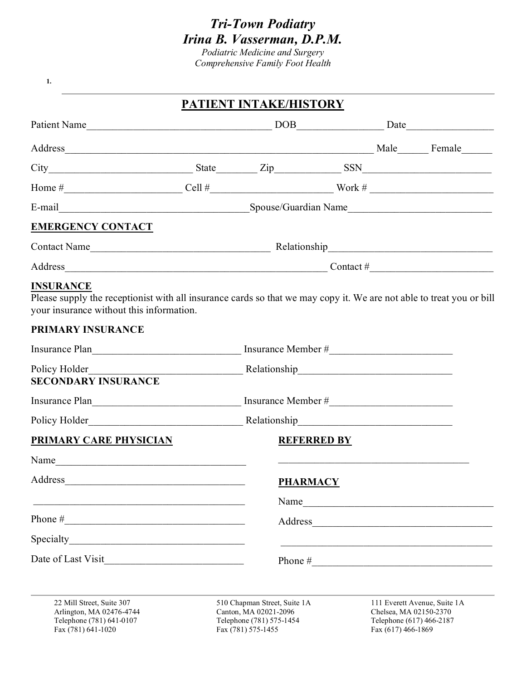# *Tri-Town Podiatry Irina B. Vasserman, D.P.M.*

*Podiatric Medicine and Surgery Comprehensive Family Foot Health*

**1.**

# **PATIENT INTAKE/HISTORY**

| Address Female                                                                                                                                                                       |                                                             |                                                                                   |  |                                                    |                              |  |
|--------------------------------------------------------------------------------------------------------------------------------------------------------------------------------------|-------------------------------------------------------------|-----------------------------------------------------------------------------------|--|----------------------------------------------------|------------------------------|--|
| $City$ $City$ $State$ $Zip$ $Xip$ $SSN$ $SSN$                                                                                                                                        |                                                             |                                                                                   |  |                                                    |                              |  |
|                                                                                                                                                                                      |                                                             |                                                                                   |  |                                                    |                              |  |
|                                                                                                                                                                                      |                                                             |                                                                                   |  |                                                    |                              |  |
| <b>EMERGENCY CONTACT</b>                                                                                                                                                             |                                                             |                                                                                   |  |                                                    |                              |  |
|                                                                                                                                                                                      |                                                             |                                                                                   |  |                                                    |                              |  |
|                                                                                                                                                                                      |                                                             |                                                                                   |  |                                                    |                              |  |
| <b>INSURANCE</b><br>Please supply the receptionist with all insurance cards so that we may copy it. We are not able to treat you or bill<br>your insurance without this information. |                                                             |                                                                                   |  |                                                    |                              |  |
| PRIMARY INSURANCE                                                                                                                                                                    |                                                             |                                                                                   |  |                                                    |                              |  |
|                                                                                                                                                                                      | Insurance Plan Insurance Member #                           |                                                                                   |  |                                                    |                              |  |
| <b>SECONDARY INSURANCE</b>                                                                                                                                                           |                                                             |                                                                                   |  |                                                    |                              |  |
|                                                                                                                                                                                      |                                                             |                                                                                   |  |                                                    |                              |  |
|                                                                                                                                                                                      |                                                             |                                                                                   |  |                                                    |                              |  |
| <b>PRIMARY CARE PHYSICIAN</b>                                                                                                                                                        |                                                             | <b>REFERRED BY</b>                                                                |  |                                                    |                              |  |
| Name                                                                                                                                                                                 |                                                             |                                                                                   |  |                                                    |                              |  |
| Address                                                                                                                                                                              | <b>PHARMACY</b>                                             |                                                                                   |  |                                                    |                              |  |
|                                                                                                                                                                                      |                                                             | Name                                                                              |  |                                                    |                              |  |
|                                                                                                                                                                                      |                                                             |                                                                                   |  |                                                    | Address                      |  |
|                                                                                                                                                                                      |                                                             |                                                                                   |  |                                                    |                              |  |
| Date of Last Visit                                                                                                                                                                   | <u> 1990 - Johann Barbara, martxa al III-lea (h. 1980).</u> |                                                                                   |  |                                                    | Phone $\#$                   |  |
| 22 Mill Street, Suite 307<br>Arlington, MA 02476-4744<br>Telephone (781) 641-0107                                                                                                    |                                                             | 510 Chapman Street, Suite 1A<br>Canton, MA 02021-2096<br>Telephone (781) 575-1454 |  | Chelsea, MA 02150-2370<br>Telephone (617) 466-2187 | 111 Everett Avenue, Suite 1A |  |

Fax (781) 641-1020 Fax (781) 575-1455

Telephone (781) 641-0107 Telephone (781) 575-1454 Telephone (781) 641-1020<br>Fax (781) 641-1020 Telephone (781) 575-1455 Fax (617) 466-1869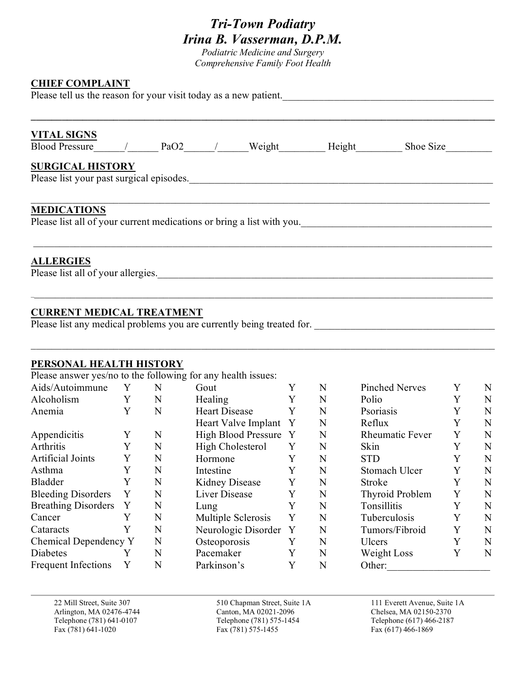# *Tri-Town Podiatry Irina B. Vasserman, D.P.M.*

*Podiatric Medicine and Surgery Comprehensive Family Foot Health*

#### **CHIEF COMPLAINT**

Please tell us the reason for your visit today as a new patient.

| <b>VITAL SIGNS</b>                                                                          |                                  |  | Blood Pressure / PaO2 / Weight Height Shoe Size |
|---------------------------------------------------------------------------------------------|----------------------------------|--|-------------------------------------------------|
| <b>SURGICAL HISTORY</b><br>Please list your past surgical episodes.                         |                                  |  |                                                 |
| <b>MEDICATIONS</b><br>Please list all of your current medications or bring a list with you. |                                  |  |                                                 |
| <b>ALLERGIES</b><br>Please list all of your allergies.                                      |                                  |  |                                                 |
|                                                                                             | <b>CURRENT MEDICAL TREATMENT</b> |  |                                                 |

Please list any medical problems you are currently being treated for.

## **PERSONAL HEALTH HISTORY**

Please answer yes/no to the following for any health issues:

| Aids/Autoimmune            | Y | N | Gout                       | Y | N | <b>Pinched Nerves</b>  | Y | N |
|----------------------------|---|---|----------------------------|---|---|------------------------|---|---|
| Alcoholism                 | Y | N | Healing                    | Y | N | Polio                  |   | N |
| Anemia                     | Y | N | <b>Heart Disease</b>       | Y | N | Psoriasis              |   | N |
|                            |   |   | Heart Valve Implant        | Y | N | Reflux                 |   | N |
| Appendicitis               | Y | N | <b>High Blood Pressure</b> | Y | N | <b>Rheumatic Fever</b> | Y | N |
| Arthritis                  | Y | N | High Cholesterol           | Y | N | Skin                   |   | N |
| <b>Artificial Joints</b>   | Y | N | Hormone                    | Y | N | <b>STD</b>             |   | N |
| Asthma                     | Y | N | Intestine                  | Y | N | Stomach Ulcer          | Y | N |
| Bladder                    | Y | N | Kidney Disease             | Y | N | Stroke                 |   | N |
| <b>Bleeding Disorders</b>  | Y | N | Liver Disease              | Y | N | Thyroid Problem        | Y | N |
| <b>Breathing Disorders</b> | Y | N | Lung                       | Y | N | Tonsillitis            |   | N |
| Cancer                     |   | N | Multiple Sclerosis         | Y | N | Tuberculosis           | Y | N |
| Cataracts                  |   | N | Neurologic Disorder        | Y | N | Tumors/Fibroid         | Y | N |
| Chemical Dependency Y      |   | N | Osteoporosis               | Y | N | Ulcers                 | Y | N |
| Diabetes                   |   | N | Pacemaker                  | Y | N | Weight Loss            |   | N |
| <b>Frequent Infections</b> | Y | N | Parkinson's                | Y | N | Other:                 |   |   |

Fax (781) 641-1020 Fax (781) 575-1455 Fax (617) 466-1869

22 Mill Street, Suite 307 510 Chapman Street, Suite 1A 111 Everett Avenue, Suite 1A Arlington, MA 02476-4744 Canton, MA 02021-2096 Chelsea, MA 02150-2370 Telephone (781) 641-0107 Telephone (781) 575-1454 Telephone (617) 466-2187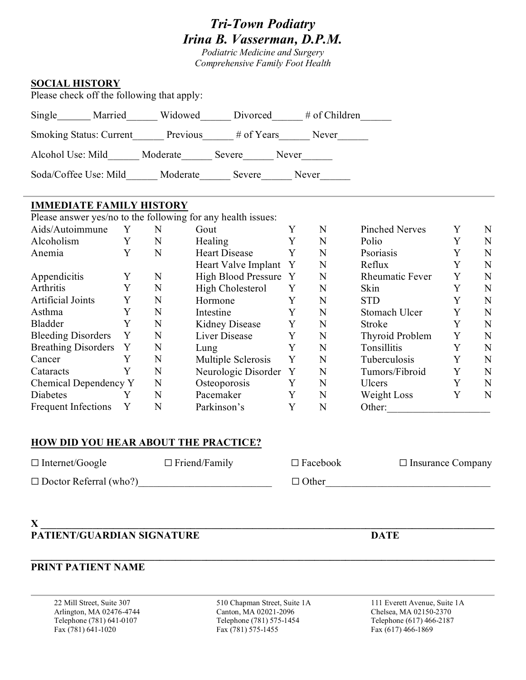# *Tri-Town Podiatry Irina B. Vasserman, D.P.M.*

*Podiatric Medicine and Surgery Comprehensive Family Foot Health*

## **SOCIAL HISTORY**

Please check off the following that apply:

| Single                         | Married | Widowed  | Divorced   | $#$ of Children |
|--------------------------------|---------|----------|------------|-----------------|
| <b>Smoking Status: Current</b> |         | Previous | # of Years | Never           |
| Alcohol Use: Mild              |         | Moderate | Severe     | Never           |
| Soda/Coffee Use: Mild          |         | Moderate | Severe     | Never           |

## **IMMEDIATE FAMILY HISTORY**

Please answer yes/no to the following for any health issues:

| Aids/Autoimmune            | Y | N | Gout                       | Y | N | <b>Pinched Nerves</b>  |   | N |
|----------------------------|---|---|----------------------------|---|---|------------------------|---|---|
| Alcoholism                 | Y | N | <b>Healing</b>             | Y | N | Polio                  |   | N |
| Anemia                     | Y | N | <b>Heart Disease</b>       | Y | N | Psoriasis              |   | N |
|                            |   |   | Heart Valve Implant        | Y | N | Reflux                 |   | N |
| Appendicitis               | Y | N | <b>High Blood Pressure</b> | Y | N | <b>Rheumatic Fever</b> | Y | N |
| Arthritis                  | Y | N | High Cholesterol           | Y | N | Skin                   | Y | N |
| <b>Artificial Joints</b>   | Y | N | Hormone                    | Y | N | <b>STD</b>             |   | N |
| Asthma                     | Y | N | Intestine                  | Y | N | Stomach Ulcer          | Y | N |
| Bladder                    | Y | N | Kidney Disease             | Y | N | Stroke                 | Y | N |
| <b>Bleeding Disorders</b>  | Y | N | Liver Disease              | Y | N | Thyroid Problem        | Y | N |
| <b>Breathing Disorders</b> | Y | N | Lung                       | Y | N | Tonsillitis            | Y | N |
| Cancer                     |   | N | Multiple Sclerosis         | Y | N | Tuberculosis           |   | N |
| Cataracts                  | Y | N | Neurologic Disorder Y      |   | N | Tumors/Fibroid         | Y | N |
| Chemical Dependency Y      |   | N | Osteoporosis               | Y | N | Ulcers                 | Y | N |
| Diabetes                   |   | N | Pacemaker                  | Y | N | Weight Loss            | Y | N |
| <b>Frequent Infections</b> | Y | N | Parkinson's                | Y | N | Other:                 |   |   |

## **HOW DID YOU HEAR ABOUT THE PRACTICE?**

| $\Box$ Internet/Google        | $\Box$ Friend/Family | $\Box$ Facebook | $\Box$ Insurance Company |
|-------------------------------|----------------------|-----------------|--------------------------|
| $\Box$ Doctor Referral (who?) |                      | $\Box$ Other    |                          |

#### **X \_\_\_\_\_\_\_\_\_\_\_\_\_\_\_\_\_\_\_\_\_\_\_\_\_\_\_\_\_\_\_\_\_\_\_\_\_\_\_\_\_\_\_\_\_\_\_\_\_\_\_\_\_\_\_\_\_\_\_\_\_\_\_\_\_\_\_\_\_\_\_\_\_\_\_\_\_\_\_\_\_\_\_\_\_\_\_\_ PATIENT/GUARDIAN SIGNATURE DATE**

## **PRINT PATIENT NAME**

22 Mill Street, Suite 307 510 Chapman Street, Suite 1A 111 Everett Avenue, Suite 1A Arlington, MA 02476-4744 Canton, MA 02021-2096 Chelsea, MA 02150-2370 Telephone (781) 641-0107 Telephone (781) 575-1454 Telephone (617) 466-2187 Fax (781) 641-1020 Fax (781) 575-1455 Fax (617) 466-1869

**\_\_\_\_\_\_\_\_\_\_\_\_\_\_\_\_\_\_\_\_\_\_\_\_\_\_\_\_\_\_\_\_\_\_\_\_\_\_\_\_\_\_\_\_\_\_\_\_\_\_\_\_\_\_\_\_\_\_\_\_\_\_\_\_\_\_\_\_\_\_\_\_\_\_\_\_\_\_\_\_\_\_\_\_\_\_\_\_\_\_**